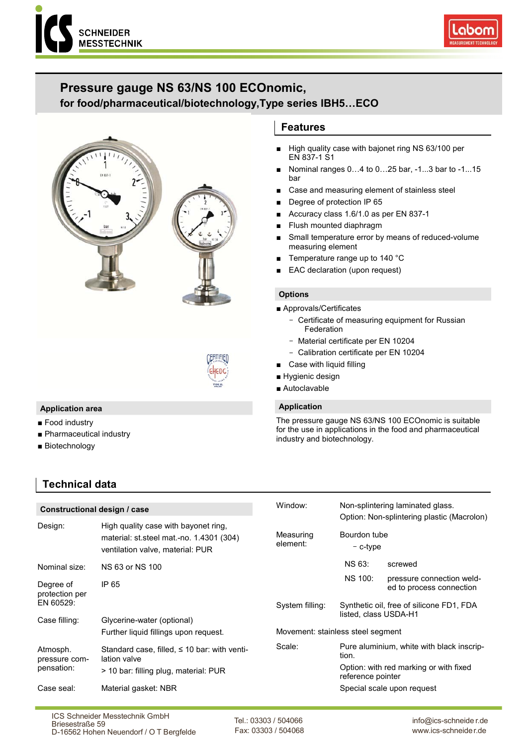



# **Pressure gauge NS 63/NS 100 ECOnomic,**

# **for food/pharmaceutical/biotechnology,Type series IBH5…ECO**





# **Application area**

- Food industry
- Pharmaceutical industry
- Biotechnology

# **Technical data**

# **Features**

- High quality case with bajonet ring NS 63/100 per EN 837-1 S1
- Nominal ranges 0…4 to 0…25 bar, -1...3 bar to -1...15 bar
- Case and measuring element of stainless steel
- Degree of protection IP 65
- Accuracy class 1.6/1.0 as per EN 837-1
- Flush mounted diaphragm
- Small temperature error by means of reduced-volume measuring element
- Temperature range up to 140 °C
- EAC declaration (upon request)

# **Options**

- Approvals/Certificates
	- Certificate of measuring equipment for Russian Federation
	- Material certificate per EN 10204
	- Calibration certificate per EN 10204
- Case with liquid filling
- Hygienic design
- Autoclavable

# **Application**

The pressure gauge NS 63/NS 100 ECOnomic is suitable for the use in applications in the food and pharmaceutical industry and biotechnology.

| Constructional design / case |                                                                                                                      | Window:                           | Non-splintering laminated glass.                                  |                                                       |
|------------------------------|----------------------------------------------------------------------------------------------------------------------|-----------------------------------|-------------------------------------------------------------------|-------------------------------------------------------|
| Design:                      | High quality case with bayonet ring,<br>material: st.steel mat.-no. 1.4301 (304)<br>ventilation valve, material: PUR | Measuring<br>element:             | Bourdon tube<br>$-$ c-type                                        | Option: Non-splintering plastic (Macrolon)            |
| Nominal size:                | NS 63 or NS 100                                                                                                      |                                   | <b>NS 63:</b>                                                     | screwed                                               |
| Degree of<br>protection per  | IP 65                                                                                                                |                                   | NS 100:                                                           | pressure connection weld-<br>ed to process connection |
| EN 60529:                    |                                                                                                                      | System filling:                   | Synthetic oil, free of silicone FD1, FDA<br>listed, class USDA-H1 |                                                       |
| Case filling:                | Glycerine-water (optional)                                                                                           |                                   |                                                                   |                                                       |
|                              | Further liquid fillings upon request.                                                                                | Movement: stainless steel segment |                                                                   |                                                       |
| Atmosph.<br>pressure com-    | Standard case, filled, $\leq$ 10 bar: with venti-<br>lation valve                                                    | Scale:                            | tion.                                                             | Pure aluminium, white with black inscrip-             |
| pensation:                   | > 10 bar: filling plug, material: PUR                                                                                |                                   | Option: with red marking or with fixed<br>reference pointer       |                                                       |
| Case seal:                   | Material gasket: NBR                                                                                                 |                                   |                                                                   | Special scale upon request                            |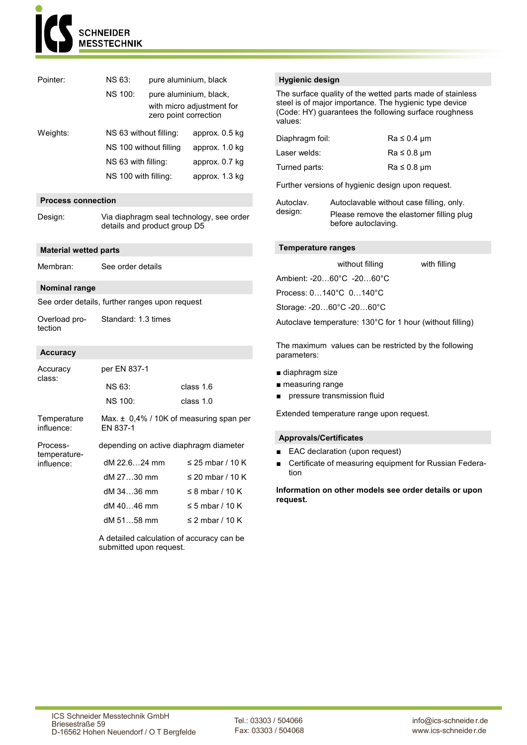

| Pointer:       | <b>NS 63:</b><br>pure aluminium, black |                                                                              |                |  |
|----------------|----------------------------------------|------------------------------------------------------------------------------|----------------|--|
| <b>NS 100:</b> |                                        | pure aluminium, black,<br>with micro adjustment for<br>zero point correction |                |  |
| Weights:       | NS 63 without filling:                 |                                                                              | approx. 0.5 kg |  |
|                | NS 100 without filling                 |                                                                              | approx. 1.0 kg |  |
|                | NS 63 with filling:                    |                                                                              | approx. 0.7 kg |  |
|                | NS 100 with filling:                   |                                                                              | approx. 1.3 kg |  |

# **Process connection**

Design: Via diaphragm seal technology, see order details and product group D5

## **Material wetted parts**

Membran: See order details

## **Nominal range**

See order details, further ranges upon request

Overload protection Standard: 1.3 times

## **Accuracy**

| Accuracy                   | per EN 837-1                                            |                       |  |  |
|----------------------------|---------------------------------------------------------|-----------------------|--|--|
| class:                     | NS 63:                                                  | class 1.6             |  |  |
|                            | <b>NS 100:</b>                                          | class $1.0$           |  |  |
| Temperature<br>influence:  | Max. $\pm$ 0.4% / 10K of measuring span per<br>EN 837-1 |                       |  |  |
| Process-                   | depending on active diaphragm diameter                  |                       |  |  |
| temperature-<br>influence: | dM 22.624 mm                                            | $\leq$ 25 mbar / 10 K |  |  |
|                            | dM 2730 mm                                              | ≤ 20 mbar / 10 K      |  |  |
|                            | dM 3436 mm                                              | $\leq$ 8 mbar / 10 K  |  |  |
|                            | dM 4046 mm                                              | ≤ 5 mbar / 10 K       |  |  |
|                            | dM 5158 mm                                              | ≤ 2 mbar / 10 K       |  |  |

A detailed calculation of accuracy can be submitted upon request.

# **Hygienic design**

The surface quality of the wetted parts made of stainless steel is of major importance. The hygienic type device (Code: HY) guarantees the following surface roughness values:

| Diaphragm foil: | $Ra \leq 0.4 \mu m$ |
|-----------------|---------------------|
| Laser welds:    | $Ra \leq 0.8 \mu m$ |
| Turned parts:   | $Ra \leq 0.8 \mu m$ |

Further versions of hygienic design upon request.

Autoclav. design: Autoclavable without case filling, only. Please remove the elastomer filling plug before autoclaving.

## **Temperature ranges**

|                          | without filling                              | with filling                                              |
|--------------------------|----------------------------------------------|-----------------------------------------------------------|
|                          | Ambient: $-2060^{\circ}$ C $-2060^{\circ}$ C |                                                           |
| Process: 0140°C 0140°C   |                                              |                                                           |
| Storage: -2060°C -2060°C |                                              |                                                           |
|                          |                                              | Autoclave temperature: 130°C for 1 hour (without filling) |

The maximum values can be restricted by the following parameters:

- diaphragm size
- measuring range
- pressure transmission fluid

Extended temperature range upon request.

## **Approvals/Certificates**

- EAC declaration (upon request)
- Certificate of measuring equipment for Russian Federation

**Information on other models see order details or upon request.**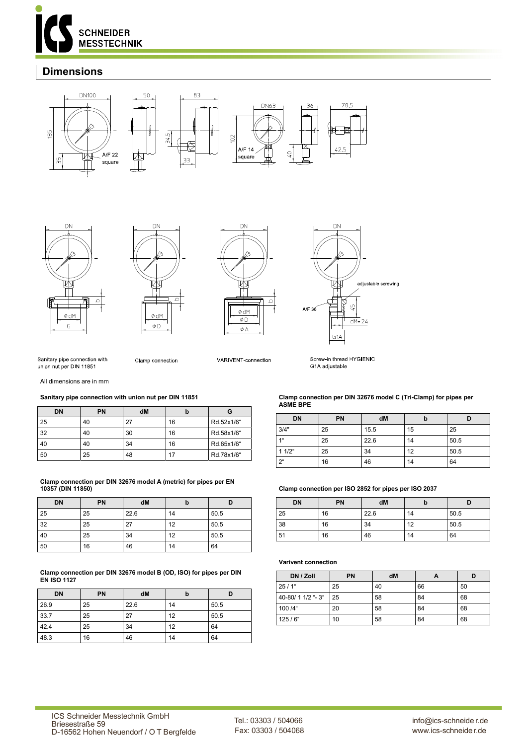

# **Dimensions**











Sanitary pipe connection with union nut per DIN 11851

Clamp connection

VARIVENT-connection

Screw-in thread HYGIFNIC G1A adjustable

All dimensions are in mm

#### **Sanitary pipe connection with union nut per DIN 11851**

| <b>DN</b> | <b>PN</b> | dM |    |            |
|-----------|-----------|----|----|------------|
| 25        | 40        | 27 | 16 | Rd.52x1/6" |
| 32        | 40        | 30 | 16 | Rd.58x1/6" |
| 40        | 40        | 34 | 16 | Rd.65x1/6" |
| 50        | 25        | 48 | 17 | Rd.78x1/6" |

#### **Clamp connection per DIN 32676 model A (metric) for pipes per EN 10357 (DIN 11850)**

| <b>DN</b> | PN | dM   | b  |      |
|-----------|----|------|----|------|
| 25        | 25 | 22.6 | 14 | 50.5 |
| 32        | 25 | 27   | 12 | 50.5 |
| 40        | 25 | 34   | 12 | 50.5 |
| 50        | 16 | 46   | 14 | 64   |

**Clamp connection per DIN 32676 model B (OD, ISO) for pipes per DIN EN ISO 1127** 

| <b>DN</b> | PN | dM   | b  |      |
|-----------|----|------|----|------|
| 26.9      | 25 | 22.6 | 14 | 50.5 |
| 33.7      | 25 | 27   | 12 | 50.5 |
| 42.4      | 25 | 34   | 12 | 64   |
| 48.3      | 16 | 46   | 14 | 64   |

#### **Clamp connection per DIN 32676 model C (Tri-Clamp) for pipes per ASME BPE**

| <b>DN</b>      | PN | dM   | b  |      |
|----------------|----|------|----|------|
| 3/4"           | 25 | 15.5 | 15 | 25   |
| 1 <sup>u</sup> | 25 | 22.6 | 14 | 50.5 |
| $11/2$ "       | 25 | 34   | 12 | 50.5 |
| $2^{\circ}$    | 16 | 46   | 14 | 64   |

## **Clamp connection per ISO 2852 for pipes per ISO 2037**

| <b>DN</b> | PN | dM   | D  |      |
|-----------|----|------|----|------|
| 25        | 16 | 22.6 | 14 | 50.5 |
| 38        | 16 | 34   | 12 | 50.5 |
| 51        | 16 | 46   | 14 | 64   |

#### **Varivent connection**

| DN / Zoll          | <b>PN</b> | dM |    |    |
|--------------------|-----------|----|----|----|
| $25/1$ "           | 25        | 40 | 66 | 50 |
| 40-80/ 1 1/2 "- 3" | 25        | 58 | 84 | 68 |
| 100 /4"            | 20        | 58 | 84 | 68 |
| $125/6$ "          | 10        | 58 | 84 | 68 |